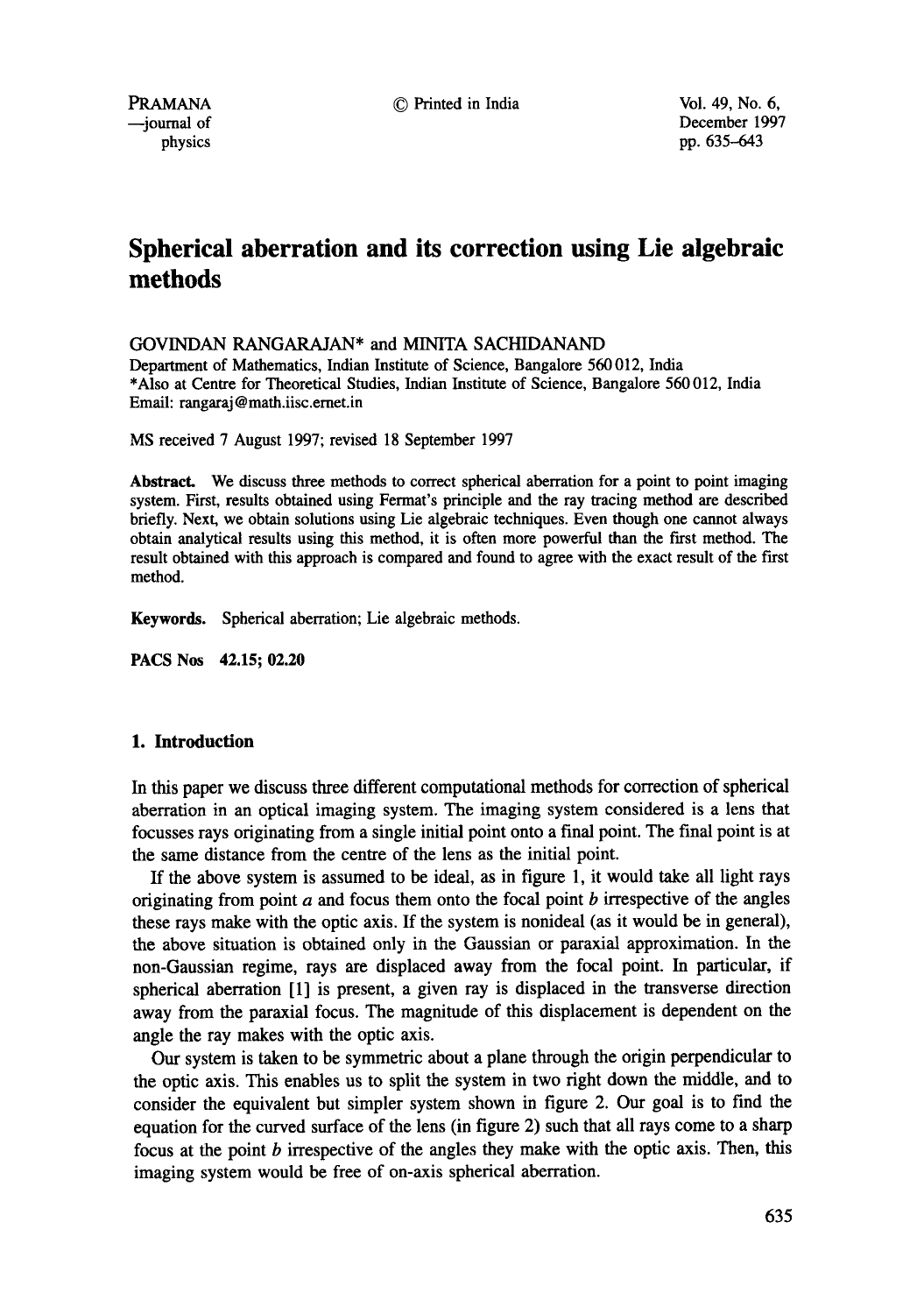--journal of December 1997 physics produces by the physics pp. 635–643

# **Spherical aberration and its correction using Lie algebraic methods**

GOVINDAN RANGARAJAN\* and MINITA SACHIDANAND

Department of Mathematics, Indian Institute of Science, Bangalore 560 012, India \*Also at Centre for Theoretical Studies, Indian Institute of Science, Bangalore 560 012, India Email: rangaraj @ math.iisc.ernet.in

MS received 7 August 1997; revised 18 September 1997

**Abstract.** We discuss three methods to correct spherical aberration for a point to point imaging system. First, results obtained using Fermat's principle and the ray tracing method are described briefly. Next, we obtain solutions using Lie algebraic techniques. Even though one cannot always obtain analytical results using this method, it is often more powerful than the first method. The result obtained with this approach is compared and found to agree with the exact result of the first method.

**Keywords.** Spherical aberration; Lie algebraic methods.

**PACS Nos 42.15; 02.20** 

# **1. Introduction**

In this paper we discuss three different computational methods for correction of spherical aberration in an optical imaging system. The imaging system considered is a lens that focusses rays originating from a single initial point onto a final point. The final point is at the same distance from the centre of the lens as the initial point.

If the above system is assumed to be ideal, as in figure 1, it would take all light rays originating from point  $a$  and focus them onto the focal point  $b$  irrespective of the angles these rays make with the optic axis. If the system is nonideal (as it would be in general), the above situation is obtained only in the Gaussian or paraxial approximation. In the non-Gaussian regime, rays are displaced away from the focal point. In particular, if spherical aberration [1] is present, a given ray is displaced in the transverse direction away from the paraxial focus. The magnitude of this displacement is dependent on the angle the ray makes with the optic axis.

Our system is taken to be symmetric about a plane through the origin perpendicular to the optic axis. This enables us to split the system in two right down the middle, and to consider the equivalent but simpler system shown in figure 2. Our goal is to find the equation for the curved surface of the lens (in figure 2) such that all rays come to a sharp focus at the point  $b$  irrespective of the angles they make with the optic axis. Then, this imaging system would be free of on-axis spherical aberration.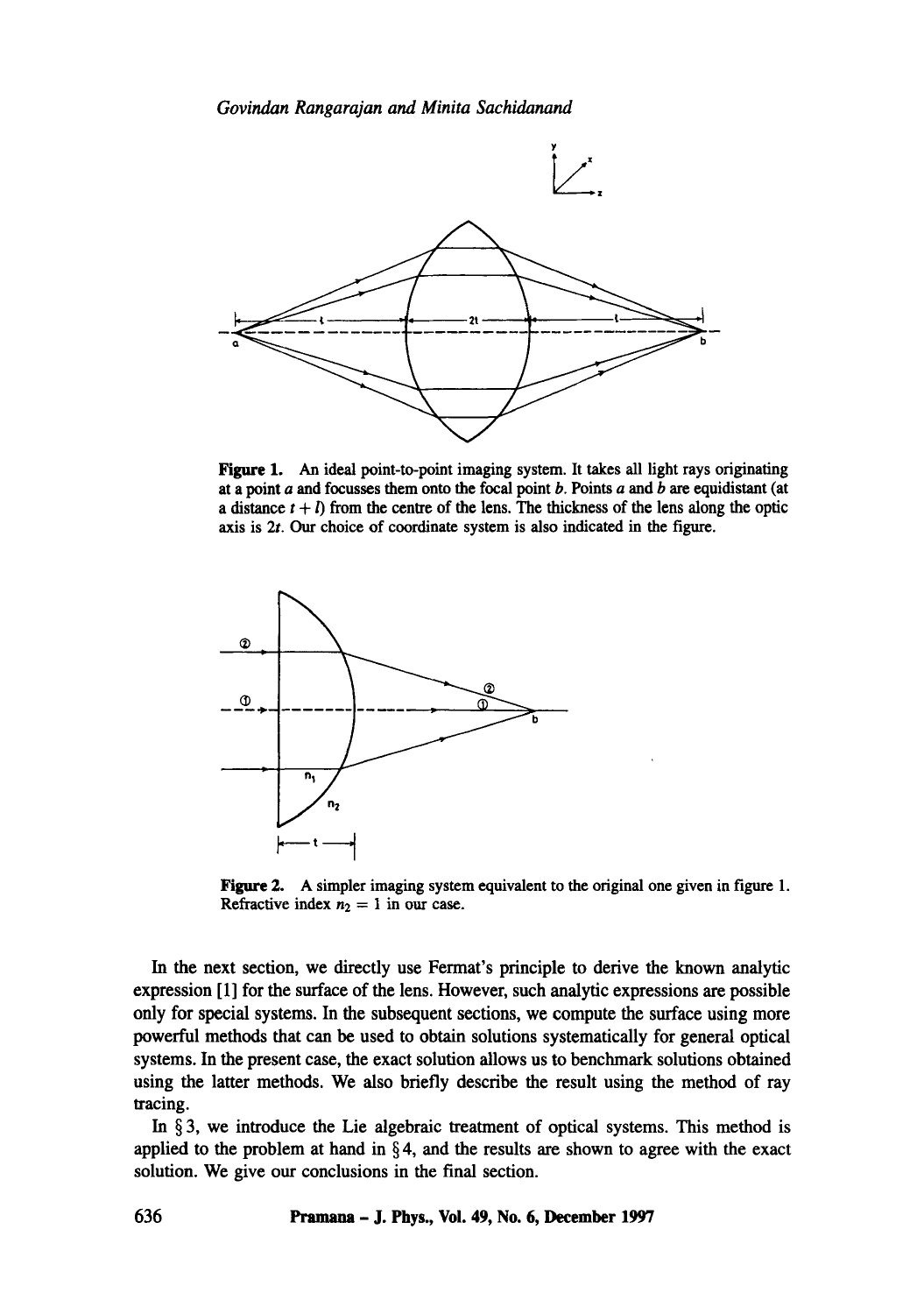

Figure 1. An ideal point-to-point imaging system. It takes all light rays originating at a point  $a$  and focusses them onto the focal point  $b$ . Points  $a$  and  $b$  are equidistant (at a distance  $t + l$ ) from the centre of the lens. The thickness of the lens along the optic axis is 2t. Our choice of coordinate system is also indicated in the figure.



Figure 2. A simpler imaging system equivalent to the original one given in figure 1. Refractive index  $n_2 = 1$  in our case.

In the next section, we directly use Fermat's principle to derive the known analytic expression [1] for the surface of the lens. However, such analytic expressions are possible only for special systems. In the subsequent sections, we compute the surface using more powerful methods that can be used to obtain solutions systematically for general optical systems. In the present case, the exact solution allows us to benchmark solutions obtained using the latter methods. We also briefly describe the result using the method of ray tracing.

In  $\S$ 3, we introduce the Lie algebraic treatment of optical systems. This method is applied to the problem at hand in  $\S 4$ , and the results are shown to agree with the exact solution. We give our conclusions in the final section.

**636 Pramana - J. Phys., Vol. 49, No. 6, December 1997**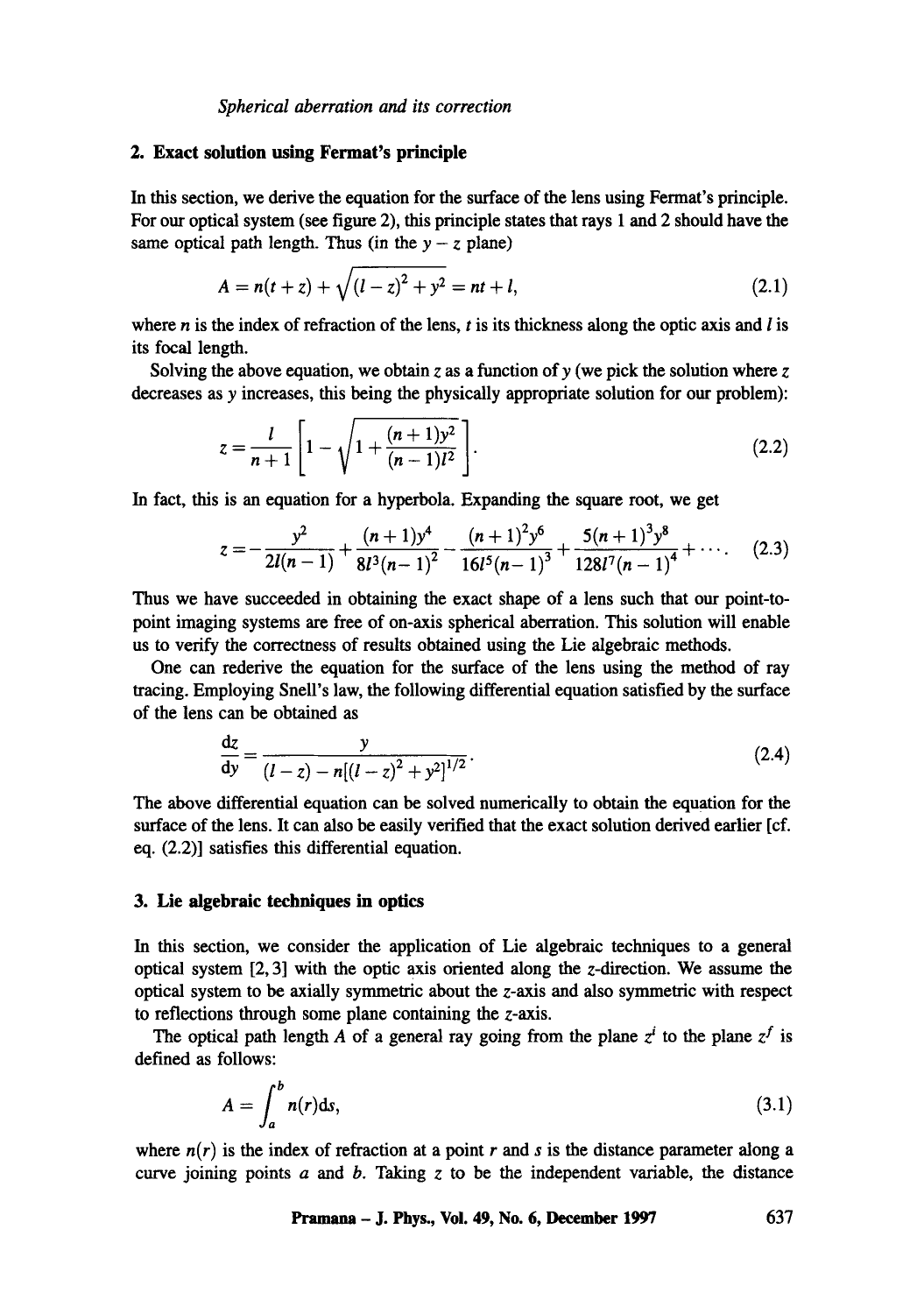*Spherical aberration and its correction* 

### **2. Exact solution using Fermat's principle**

In this section, we derive the equation for the surface of the lens using Fermat's principle. For our optical system (see figure 2), this principle states that rays 1 and 2 should have the same optical path length. Thus (in the  $y - z$  plane)

$$
A = n(t+z) + \sqrt{(l-z)^2 + y^2} = nt + l,
$$
\n(2.1)

where n is the index of refraction of the lens, t is its thickness along the optic axis and  $l$  is **its** focal length.

Solving the above equation, we obtain z as a function of y (we pick the solution where z decreases as y increases, this being the physically appropriate solution for our problem):

$$
z = \frac{l}{n+1} \left[ 1 - \sqrt{1 + \frac{(n+1)y^2}{(n-1)l^2}} \right].
$$
 (2.2)

In fact, this is an equation for a hyperbola. Expanding the square root, we get

$$
z=-\frac{y^2}{2l(n-1)}+\frac{(n+1)y^4}{8l^3(n-1)^2}-\frac{(n+1)^2y^6}{16l^5(n-1)^3}+\frac{5(n+1)^3y^8}{128l^7(n-1)^4}+\cdots
$$
 (2.3)

Thus we have succeeded in obtaining the exact shape of a lens such that our point-topoint imaging systems are free of on-axis spherical aberration. This solution will enable us to verify the correctness of results obtained using the Lie algebraic methods.

One can rederive the equation for the surface of the lens using the method of ray tracing. Employing Snell's law, the following differential equation satisfied by the surface of the lens can be obtained as

$$
\frac{dz}{dy} = \frac{y}{(l-z) - n[(l-z)^2 + y^2]^{1/2}}.
$$
\n(2.4)

The above differential equation can be solved numerically to obtain the equation for the surface of the lens. It can also be easily verified that the exact solution derived earlier [cf. eq. (2.2)] satisfies this differential equation.

#### **3. Lie algebraic techniques in optics**

In this section, we consider the application of Lie algebraic techniques to a general optical system  $[2, 3]$  with the optic axis oriented along the z-direction. We assume the optical system to be axially symmetric about the z-axis and also symmetric with respect to reflections through some plane containing the z-axis.

The optical path length A of a general ray going from the plane  $z^i$  to the plane  $z^f$  is defined as follows:

$$
A = \int_{a}^{b} n(r) \, \mathrm{d}s,\tag{3.1}
$$

where  $n(r)$  is the index of refraction at a point r and s is the distance parameter along a curve joining points  $a$  and  $b$ . Taking  $z$  to be the independent variable, the distance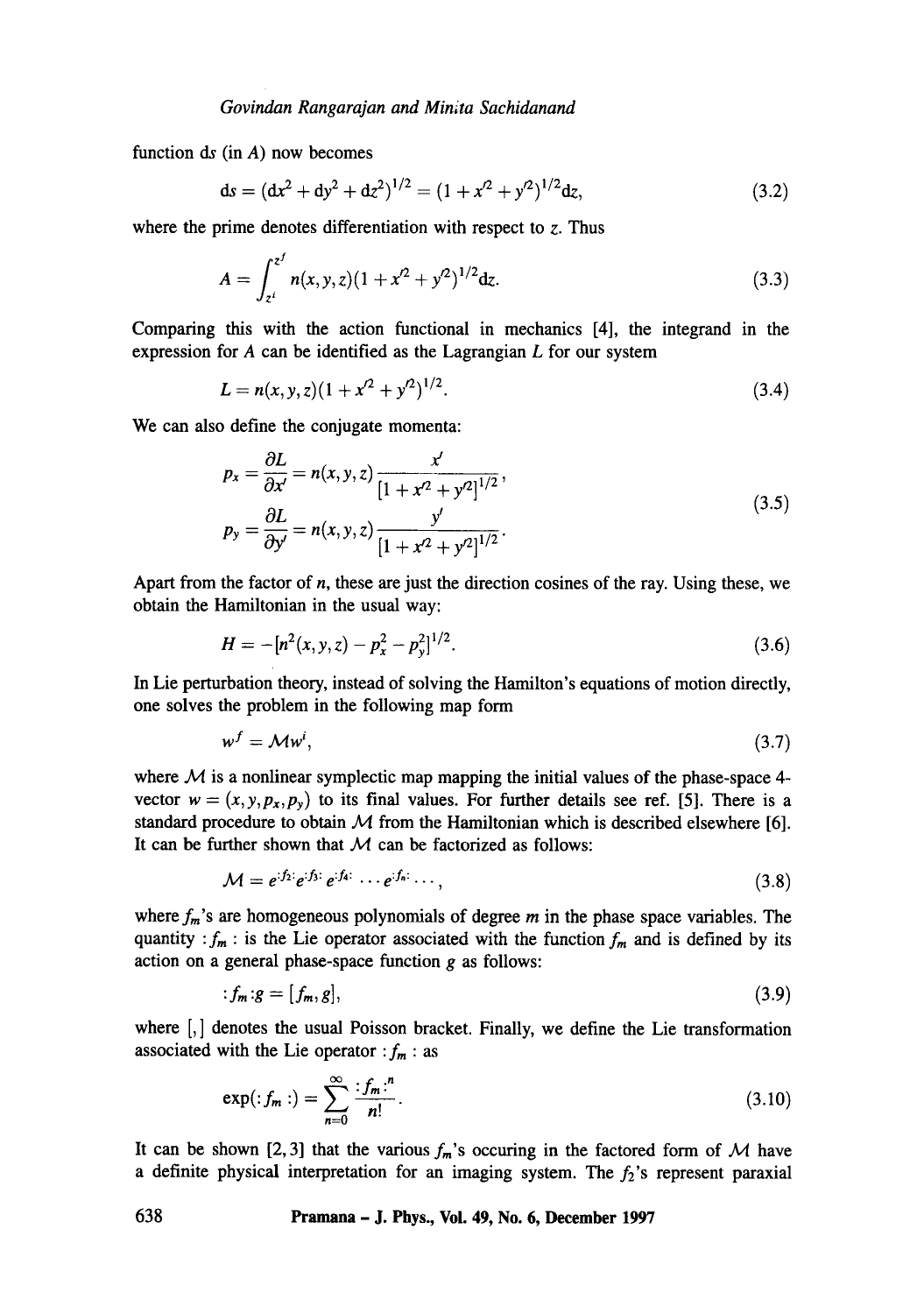function  $ds$  (in  $A$ ) now becomes

$$
ds = (dx2 + dy2 + dz2)1/2 = (1 + x2 + y2)1/2 dz,
$$
\n(3.2)

where the prime denotes differentiation with respect to  $z$ . Thus

$$
A = \int_{z^i}^{z^j} n(x, y, z)(1 + x^2 + y^2)^{1/2} dz.
$$
 (3.3)

Comparing this with the action functional in mechanics [4], the integrand in the expression for  $A$  can be identified as the Lagrangian  $L$  for our system

$$
L = n(x, y, z)(1 + x2 + y2)1/2.
$$
 (3.4)

We can also define the conjugate momenta:

$$
p_x = \frac{\partial L}{\partial x'} = n(x, y, z) \frac{x'}{[1 + x'^2 + y'^2]^{1/2}},
$$
  
\n
$$
p_y = \frac{\partial L}{\partial y'} = n(x, y, z) \frac{y'}{[1 + x'^2 + y'^2]^{1/2}}.
$$
\n(3.5)

Apart from the factor of  $n$ , these are just the direction cosines of the ray. Using these, we obtain the Hamiltonian in the usual way:

$$
H = -[n^2(x, y, z) - p_x^2 - p_y^2]^{1/2}.
$$
\n(3.6)

In Lie perturbation theory, instead of solving the Hamilton's equations of motion directly, one solves the problem in the following map form

$$
w^f = \mathcal{M}w^i,\tag{3.7}
$$

where  $M$  is a nonlinear symplectic map mapping the initial values of the phase-space 4vector  $w = (x, y, p_x, p_y)$  to its final values. For further details see ref. [5]. There is a standard procedure to obtain  $M$  from the Hamiltonian which is described elsewhere [6]. It can be further shown that  $M$  can be factorized as follows:

$$
\mathcal{M} = e^{i f_2} e^{i f_3} e^{i f_4} \cdots e^{i f_n} \cdots, \tag{3.8}
$$

where  $f_m$ 's are homogeneous polynomials of degree m in the phase space variables. The quantity *:*  $f_m$  : is the Lie operator associated with the function  $f_m$  and is defined by its action on a general phase-space function  $g$  as follows:

$$
f_m \colon g = [f_m, g], \tag{3.9}
$$

where  $\left[ , \right]$  denotes the usual Poisson bracket. Finally, we define the Lie transformation associated with the Lie operator  $:f_m$ : as

$$
\exp(\,f_m\,)\,=\,\sum_{n=0}^{\infty}\,\frac{f_m\,r^n}{n!}\,. \tag{3.10}
$$

It can be shown [2, 3] that the various  $f_m$ 's occuring in the factored form of M have a definite physical interpretation for an imaging system. The  $f_2$ 's represent paraxial

#### **638 Pramana - J. Phys., Vol. 49, No. 6, December 1997**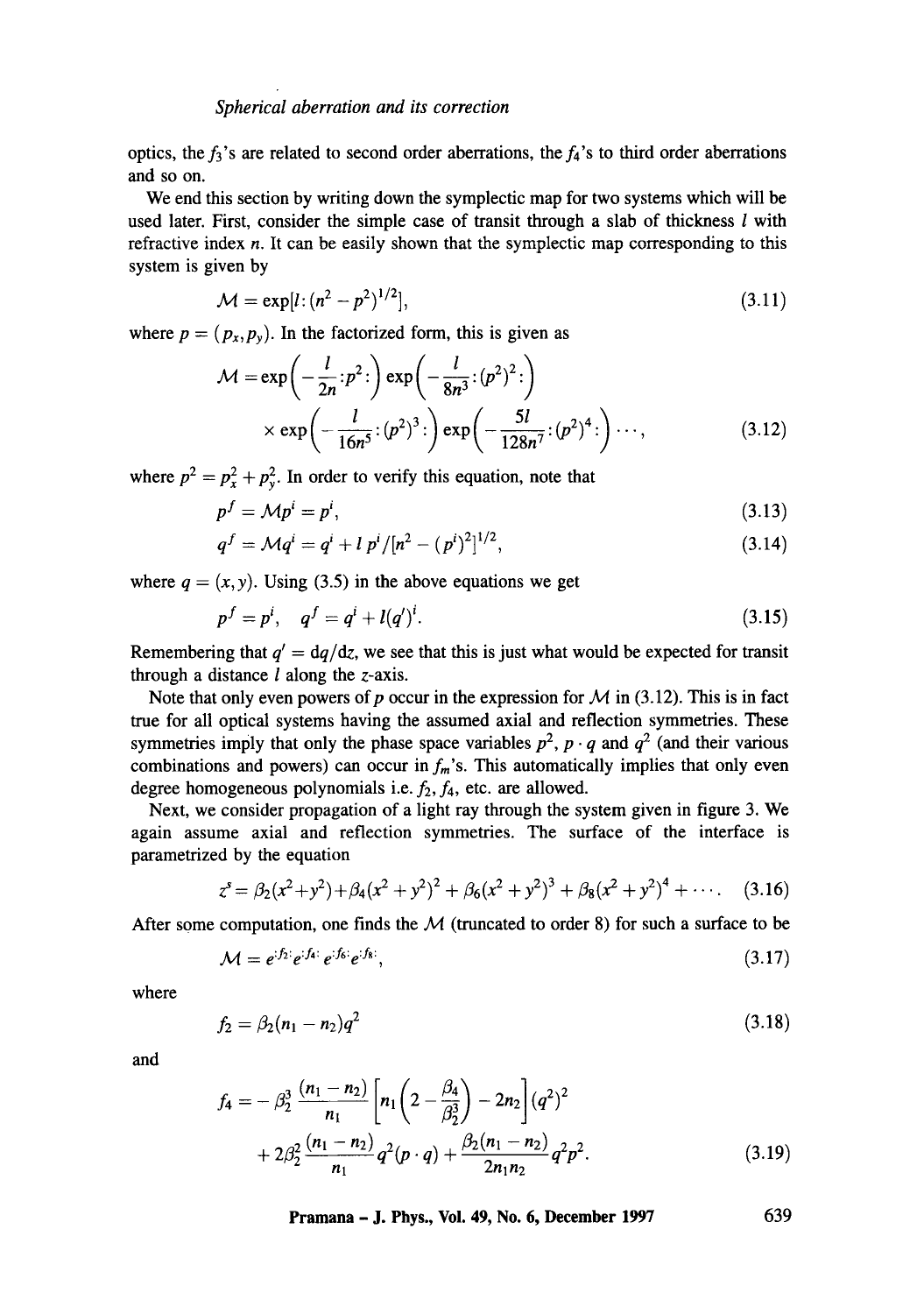optics, the  $f_3$ 's are related to second order aberrations, the  $f_4$ 's to third order aberrations and so on.

We end this section by writing down the symplectic map for two systems which will be used later. First, consider the simple case of transit through a slab of thickness  $l$  with refractive index  $n$ . It can be easily shown that the symplectic map corresponding to this system is given by

$$
\mathcal{M} = \exp[l \cdot (n^2 - p^2)^{1/2}], \tag{3.11}
$$

where  $p = (p_x, p_y)$ . In the factorized form, this is given as

$$
\mathcal{M} = \exp\left(-\frac{l}{2n} p^2\right) \exp\left(-\frac{l}{8n^3} (p^2)^2\right)
$$
  
 
$$
\times \exp\left(-\frac{l}{16n^5} (p^2)^3\right) \exp\left(-\frac{5l}{128n^7} (p^2)^4\right) \cdots,
$$
 (3.12)

where  $p^2 = p_x^2 + p_y^2$ . In order to verify this equation, note that

$$
p^f = \mathcal{M}p^i = p^i,\tag{3.13}
$$

$$
q^{f} = \mathcal{M}q^{i} = q^{i} + l p^{i} / [n^{2} - (p^{i})^{2}]^{1/2}, \qquad (3.14)
$$

where  $q = (x, y)$ . Using (3.5) in the above equations we get

$$
p^f = p^i, \quad q^f = q^i + l(q^i)^i. \tag{3.15}
$$

Remembering that  $q' = \frac{dq}{dz}$ , we see that this is just what would be expected for transit through a distance  $l$  along the z-axis.

Note that only even powers of p occur in the expression for  $M$  in (3.12). This is in fact true for all optical systems having the assumed axial and reflection symmetries. These symmetries imply that only the phase space variables  $p^2$ ,  $p \cdot q$  and  $q^2$  (and their various combinations and powers) can occur in  $f_m$ 's. This automatically implies that only even degree homogeneous polynomials i.e.  $f_2$ ,  $f_4$ , etc. are allowed.

Next, we consider propagation of a light ray through the system given in figure 3. We again assume axial and reflection symmetries. The surface of the interface is parametrized by the equation

$$
z^{s} = \beta_2(x^2 + y^2) + \beta_4(x^2 + y^2)^2 + \beta_6(x^2 + y^2)^3 + \beta_8(x^2 + y^2)^4 + \cdots
$$
 (3.16)

After some computation, one finds the  $M$  (truncated to order 8) for such a surface to be

$$
\mathcal{M} = e^{i f_2} e^{i f_4} e^{i f_5} e^{i f_8},\tag{3.17}
$$

where

$$
f_2 = \beta_2(n_1 - n_2)q^2 \tag{3.18}
$$

and

$$
f_4 = -\beta_2^3 \frac{(n_1 - n_2)}{n_1} \left[ n_1 \left( 2 - \frac{\beta_4}{\beta_2^3} \right) - 2n_2 \right] (q^2)^2
$$
  
+ 2\beta\_2^2 \frac{(n\_1 - n\_2)}{n\_1} q^2 (p \cdot q) + \frac{\beta\_2 (n\_1 - n\_2)}{2n\_1 n\_2} q^2 p^2. (3.19)

**Pramana - J. Phys., Vol. 49, No. 6, December 1997 639**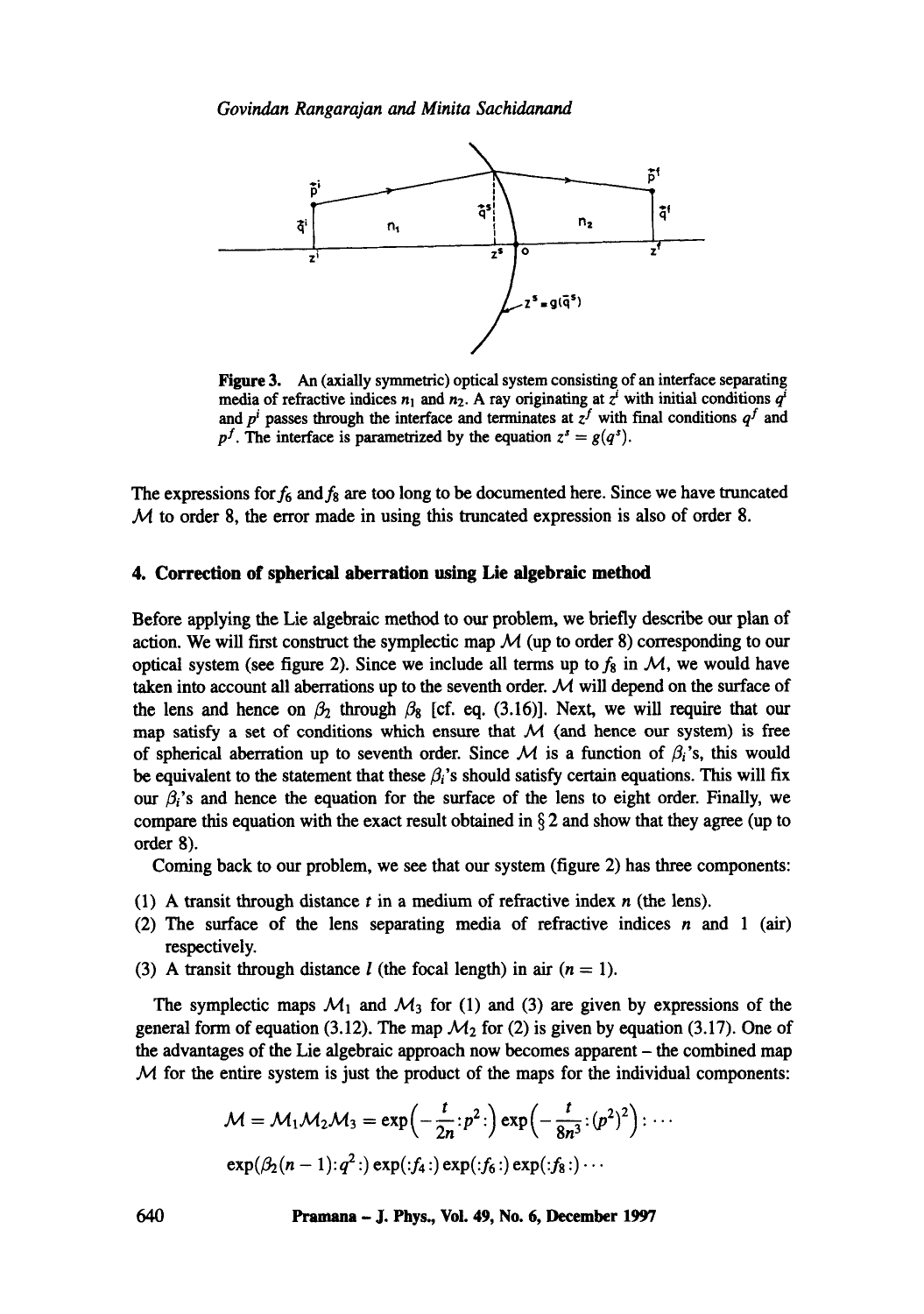*Govindan Rangarajan and Minita Sachidanand* 



Figure 3. An (axially symmetric) optical system consisting of an interface separating media of refractive indices  $n_1$  and  $n_2$ . A ray originating at  $z<sup>i</sup>$  with initial conditions  $q<sup>i</sup>$ and  $p^i$  passes through the interface and terminates at  $z^f$  with final conditions  $q^f$  and  $p<sup>f</sup>$ . The interface is parametrized by the equation  $z<sup>s</sup> = g(q<sup>s</sup>)$ .

The expressions for  $f_6$  and  $f_8$  are too long to be documented here. Since we have truncated  $M$  to order 8, the error made in using this truncated expression is also of order 8.

#### **4. Correction of spherical aberration using Lie algebraic method**

Before applying the Lie algebraic method to our problem, we briefly describe our plan of action. We will first construct the symplectic map  $\mathcal M$  (up to order 8) corresponding to our optical system (see figure 2). Since we include all terms up to  $f_8$  in  $\mathcal{M}$ , we would have taken into account all aberrations up to the seventh order.  $M$  will depend on the surface of the lens and hence on  $\beta_2$  through  $\beta_8$  [cf. eq. (3.16)]. Next, we will require that our map satisfy a set of conditions which ensure that  $M$  (and hence our system) is free of spherical aberration up to seventh order. Since  $\mathcal M$  is a function of  $\beta_i$ 's, this would be equivalent to the statement that these  $\beta_i$ 's should satisfy certain equations. This will fix our  $\beta_i$ 's and hence the equation for the surface of the lens to eight order. Finally, we compare this equation with the exact result obtained in  $\S 2$  and show that they agree (up to order 8).

Coming back to our problem, we see that our system (figure 2) has three components:

- (1) A transit through distance  $t$  in a medium of refractive index  $n$  (the lens).
- (2) The surface of the lens separating media of refractive indices  $n$  and 1 (air) respectively.
- (3) A transit through distance l (the focal length) in air  $(n = 1)$ .

The symplectic maps  $M_1$  and  $M_3$  for (1) and (3) are given by expressions of the general form of equation (3.12). The map  $\mathcal{M}_2$  for (2) is given by equation (3.17). One of the advantages of the Lie algebraic approach now becomes apparent - the combined map  $M$  for the entire system is just the product of the maps for the individual components:

$$
\mathcal{M} = \mathcal{M}_1 \mathcal{M}_2 \mathcal{M}_3 = \exp\left(-\frac{t}{2n}; p^2\right) \exp\left(-\frac{t}{8n^3}; (p^2)^2\right) : \cdots
$$
  

$$
\exp(\beta_2(n-1); q^2\cdot) \exp(j_4\cdot) \exp(j_6\cdot) \exp(j_8\cdot) \cdots
$$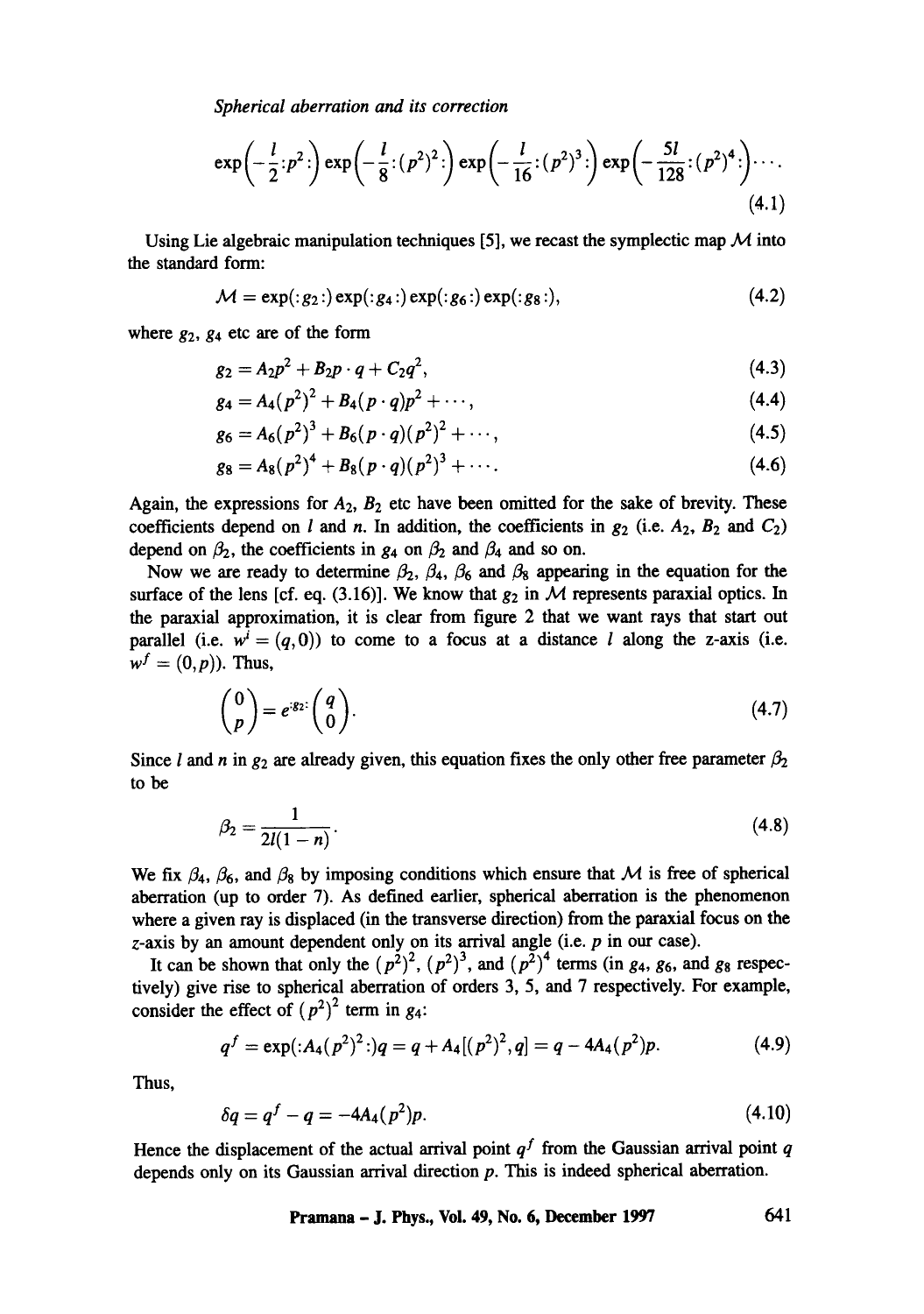*Spherical aberration and its correction* 

$$
\exp\left(-\frac{l}{2} : p^2\right) \exp\left(-\frac{l}{8} : (p^2)^2\right) \exp\left(-\frac{l}{16} : (p^2)^3\right) \exp\left(-\frac{5l}{128} : (p^2)^4\right) \cdots
$$
\n(4.1)

Using Lie algebraic manipulation techniques [5], we recast the symplectic map  $\mathcal M$  into the standard form:

$$
\mathcal{M} = \exp(\cdot g_2 \cdot) \exp(\cdot g_4 \cdot) \exp(\cdot g_6 \cdot) \exp(\cdot g_8 \cdot), \tag{4.2}
$$

where  $g_2$ ,  $g_4$  etc are of the form

$$
g_2 = A_2 p^2 + B_2 p \cdot q + C_2 q^2, \tag{4.3}
$$

$$
g_4 = A_4 (p^2)^2 + B_4 (p \cdot q) p^2 + \cdots, \qquad (4.4)
$$

$$
g_6 = A_6(p^2)^3 + B_6(p \cdot q)(p^2)^2 + \cdots, \qquad (4.5)
$$

$$
g_8 = A_8(p^2)^4 + B_8(p \cdot q)(p^2)^3 + \cdots. \tag{4.6}
$$

Again, the expressions for  $A_2$ ,  $B_2$  etc have been omitted for the sake of brevity. These coefficients depend on l and n. In addition, the coefficients in  $g_2$  (i.e.  $A_2$ ,  $B_2$  and  $C_2$ ) depend on  $\beta_2$ , the coefficients in  $g_4$  on  $\beta_2$  and  $\beta_4$  and so on.

Now we are ready to determine  $\beta_2$ ,  $\beta_4$ ,  $\beta_6$  and  $\beta_8$  appearing in the equation for the surface of the lens [cf. eq. (3.16)]. We know that  $g_2$  in  $M$  represents paraxial optics. In the paraxial approximation, it is clear from figure 2 that we want rays that start out parallel (i.e.  $w^{i} = (q,0)$ ) to come to a focus at a distance *l* along the z-axis (i.e.  $w^f = (0, p)$ . Thus,

$$
\begin{pmatrix} 0 \\ p \end{pmatrix} = e^{g_2} \begin{pmatrix} q \\ 0 \end{pmatrix}.
$$
 (4.7)

Since *l* and *n* in  $g_2$  are already given, this equation fixes the only other free parameter  $\beta_2$ to be

$$
\beta_2 = \frac{1}{2l(1-n)}.\tag{4.8}
$$

We fix  $\beta_4$ ,  $\beta_6$ , and  $\beta_8$  by imposing conditions which ensure that M is free of spherical aberration (up to order 7). As defined earlier, spherical aberration is the phenomenon where a given ray is displaced (in the transverse direction) from the paraxial focus on the  $z$ -axis by an amount dependent only on its arrival angle (i.e.  $p$  in our case).

It can be shown that only the  $(p^2)^2$ ,  $(p^2)^3$ , and  $(p^2)^4$  terms (in g<sub>4</sub>, g<sub>6</sub>, and g<sub>8</sub> respectively) give rise to spherical aberration of orders 3, 5, and 7 respectively. For example, consider the effect of  $(p^2)^2$  term in g<sub>4</sub>:

$$
q^{f} = \exp\left(\frac{A_4(p^2)^2\right)}{q} = q + A_4\left[\left(p^2\right)^2\right], q = q - 4A_4\left(p^2\right)p. \tag{4.9}
$$

Thus,

$$
\delta q = q^f - q = -4A_4(p^2)p. \tag{4.10}
$$

Hence the displacement of the actual arrival point  $q<sup>f</sup>$  from the Gaussian arrival point q depends only on its Gaussian arrival direction p. This is indeed spherical aberration.

**Pramana - J. Phys., Vol. 49, No. 6, December 1997 641**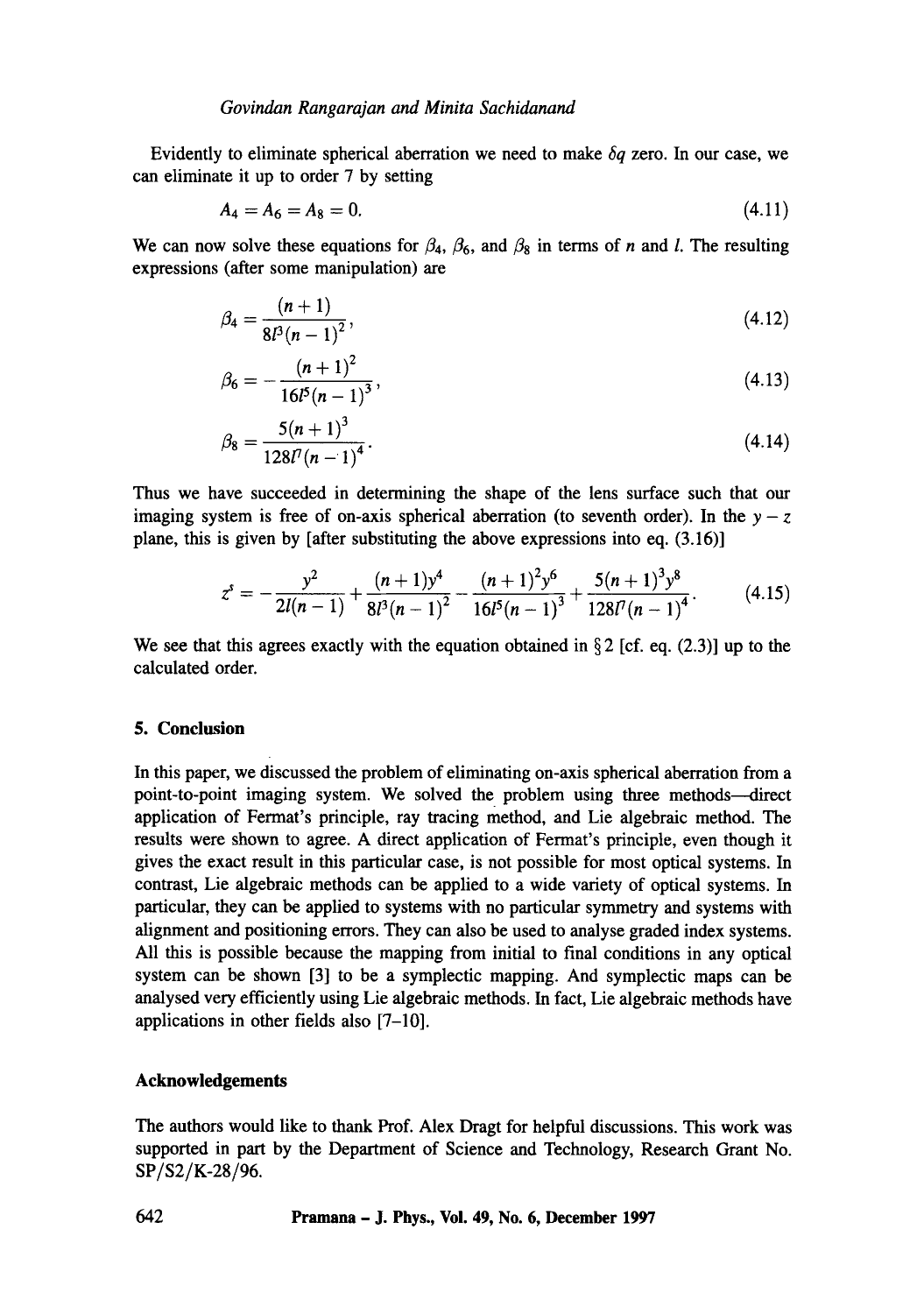Evidently to eliminate spherical aberration we need to make  $\delta q$  zero. In our case, we can eliminate it up to order 7 by setting

$$
A_4 = A_6 = A_8 = 0. \tag{4.11}
$$

We can now solve these equations for  $\beta_4$ ,  $\beta_6$ , and  $\beta_8$  in terms of n and l. The resulting expressions (after some manipulation) are

$$
\beta_4 = \frac{(n+1)}{8l^3(n-1)^2},\tag{4.12}
$$

$$
\beta_6 = -\frac{(n+1)^2}{16l^5(n-1)^3},\tag{4.13}
$$

$$
\beta_8 = \frac{5(n+1)^3}{128l^7(n-1)^4}.
$$
\n(4.14)

Thus we have succeeded in determining the shape of the lens surface such that our imaging system is free of on-axis spherical aberration (to seventh order). In the  $y - z$ plane, this is given by [after substituting the above expressions into eq. (3.16)]

$$
z^{s} = -\frac{y^{2}}{2l(n-1)} + \frac{(n+1)y^{4}}{8l^{3}(n-1)^{2}} - \frac{(n+1)^{2}y^{6}}{16l^{5}(n-1)^{3}} + \frac{5(n+1)^{3}y^{8}}{128l^{7}(n-1)^{4}}.
$$
 (4.15)

We see that this agrees exactly with the equation obtained in  $\S 2$  [cf. eq. (2.3)] up to the calculated order.

#### **5. Conclusion**

In this paper, we discussed the problem of eliminating on-axis spherical aberration from a point-to-point imaging system. We solved the problem using three methods—direct application of Fermat's principle, ray tracing method, and Lie algebraic method. The results were shown to agree. A direct application of Fermat's principle, even though it gives the exact result in this particular case, is not possible for most optical systems. In contrast, Lie algebraic methods can be applied to a wide variety of optical systems. In particular, they can be applied to systems with no particular symmetry and systems with alignment and positioning errors. They can also be used to analyse graded index systems. All this is possible because the mapping from initial to final conditions in any optical system can be shown [3] to be a symplectic mapping. And symplectic maps can be analysed very efficiently using Lie algebraic methods. In fact, Lie algebraic methods have applications in other fields also [7-10].

# **Acknowledgements**

The authors would like to thank Prof. Alex Dragt for helpful discussions. This work was supported in part by the Department of Science and Technology, Research Grant No. SP/S2/K-28/96.

**642 Pramana - J. Phys., Vol. 49, No. 6, December 1997**